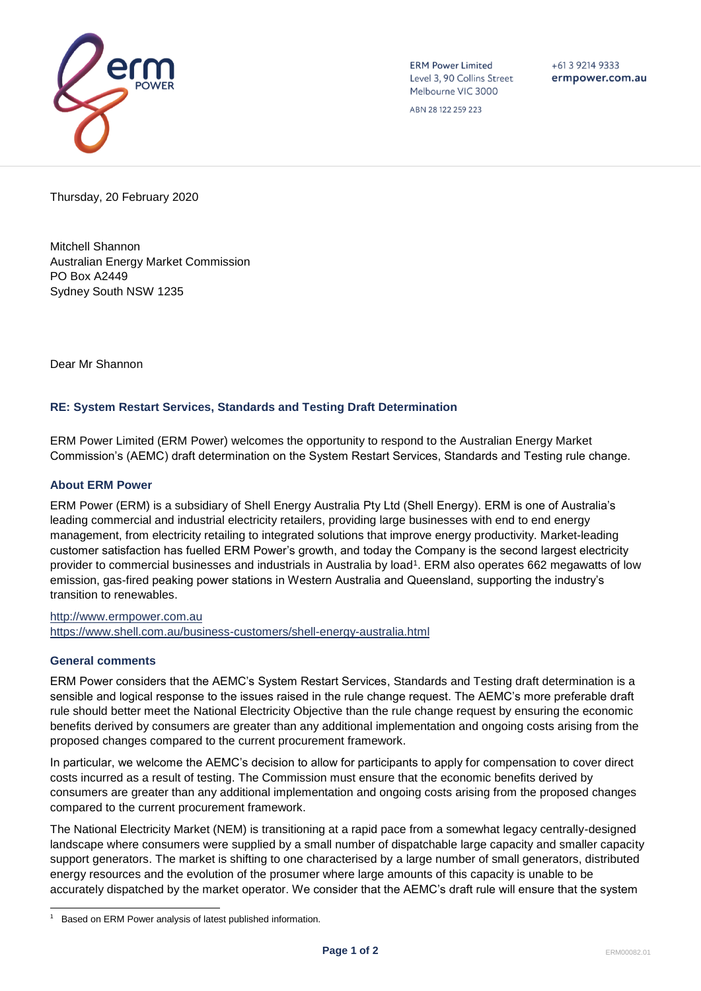

**ERM Power Limited** Level 3, 90 Collins Street Melbourne VIC 3000

 $+61$  3 9214 9333 ermpower.com.au

ABN 28 122 259 223

Thursday, 20 February 2020

Mitchell Shannon Australian Energy Market Commission PO Box A2449 Sydney South NSW 1235

Dear Mr Shannon

## **RE: System Restart Services, Standards and Testing Draft Determination**

ERM Power Limited (ERM Power) welcomes the opportunity to respond to the Australian Energy Market Commission's (AEMC) draft determination on the System Restart Services, Standards and Testing rule change.

## **About ERM Power**

ERM Power (ERM) is a subsidiary of Shell Energy Australia Pty Ltd (Shell Energy). ERM is one of Australia's leading commercial and industrial electricity retailers, providing large businesses with end to end energy management, from electricity retailing to integrated solutions that improve energy productivity. Market-leading customer satisfaction has fuelled ERM Power's growth, and today the Company is the second largest electricity provider to commercial businesses and industrials in Australia by load<sup>1</sup>. ERM also operates 662 megawatts of low emission, gas-fired peaking power stations in Western Australia and Queensland, supporting the industry's transition to renewables.

[http://www.ermpower.com.au](http://www.ermpower.com.au/) <https://www.shell.com.au/business-customers/shell-energy-australia.html>

## **General comments**

ERM Power considers that the AEMC's System Restart Services, Standards and Testing draft determination is a sensible and logical response to the issues raised in the rule change request. The AEMC's more preferable draft rule should better meet the National Electricity Objective than the rule change request by ensuring the economic benefits derived by consumers are greater than any additional implementation and ongoing costs arising from the proposed changes compared to the current procurement framework.

In particular, we welcome the AEMC's decision to allow for participants to apply for compensation to cover direct costs incurred as a result of testing. The Commission must ensure that the economic benefits derived by consumers are greater than any additional implementation and ongoing costs arising from the proposed changes compared to the current procurement framework.

The National Electricity Market (NEM) is transitioning at a rapid pace from a somewhat legacy centrally-designed landscape where consumers were supplied by a small number of dispatchable large capacity and smaller capacity support generators. The market is shifting to one characterised by a large number of small generators, distributed energy resources and the evolution of the prosumer where large amounts of this capacity is unable to be accurately dispatched by the market operator. We consider that the AEMC's draft rule will ensure that the system

<sup>1</sup> Based on ERM Power analysis of latest published information.